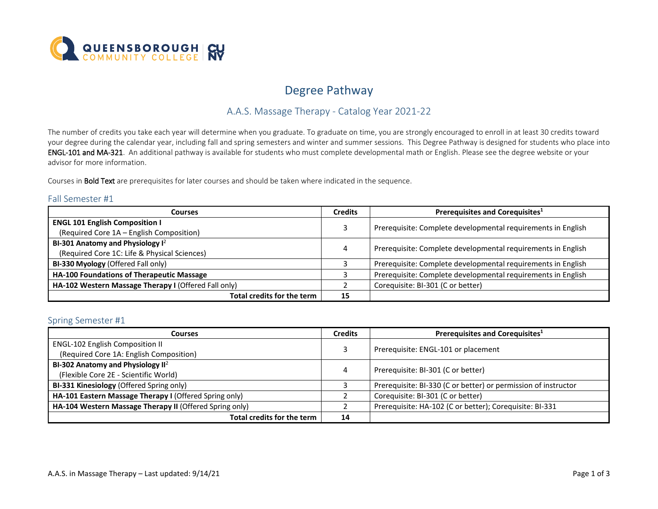

# Degree Pathway

## A.A.S. Massage Therapy - Catalog Year 2021-22

 The number of credits you take each year will determine when you graduate. To graduate on time, you are strongly encouraged to enroll in at least 30 credits toward ENGL-101 and MA-321. An additional pathway is available for students who must complete developmental math or English. Please see the degree website or your your degree during the calendar year, including fall and spring semesters and winter and summer sessions. This Degree Pathway is designed for students who place into advisor for more information.

Courses in **Bold Text** are prerequisites for later courses and should be taken where indicated in the sequence.

#### Fall Semester #1

| Courses                                                                           |    | Prerequisites and Corequisites <sup>1</sup>                  |  |
|-----------------------------------------------------------------------------------|----|--------------------------------------------------------------|--|
| <b>ENGL 101 English Composition I</b><br>(Required Core 1A - English Composition) |    | Prerequisite: Complete developmental requirements in English |  |
| BI-301 Anatomy and Physiology $I^2$                                               |    | Prerequisite: Complete developmental requirements in English |  |
| (Required Core 1C: Life & Physical Sciences)                                      |    |                                                              |  |
| BI-330 Myology (Offered Fall only)                                                |    | Prerequisite: Complete developmental requirements in English |  |
| HA-100 Foundations of Therapeutic Massage                                         |    | Prerequisite: Complete developmental requirements in English |  |
| HA-102 Western Massage Therapy I (Offered Fall only)                              |    | Corequisite: BI-301 (C or better)                            |  |
| Total credits for the term                                                        | 15 |                                                              |  |

#### Spring Semester #1

| <b>Courses</b>                                          |    | Prerequisites and Corequisites <sup>1</sup>                    |  |
|---------------------------------------------------------|----|----------------------------------------------------------------|--|
| <b>ENGL-102 English Composition II</b>                  |    | Prerequisite: ENGL-101 or placement                            |  |
| (Required Core 1A: English Composition)                 |    |                                                                |  |
| BI-302 Anatomy and Physiology $II^2$                    |    | Prerequisite: BI-301 (C or better)                             |  |
| (Flexible Core 2E - Scientific World)                   | 4  |                                                                |  |
| BI-331 Kinesiology (Offered Spring only)                |    | Prerequisite: BI-330 (C or better) or permission of instructor |  |
| HA-101 Eastern Massage Therapy I (Offered Spring only)  |    | Corequisite: BI-301 (C or better)                              |  |
| HA-104 Western Massage Therapy II (Offered Spring only) |    | Prerequisite: HA-102 (C or better); Corequisite: BI-331        |  |
| Total credits for the term                              | 14 |                                                                |  |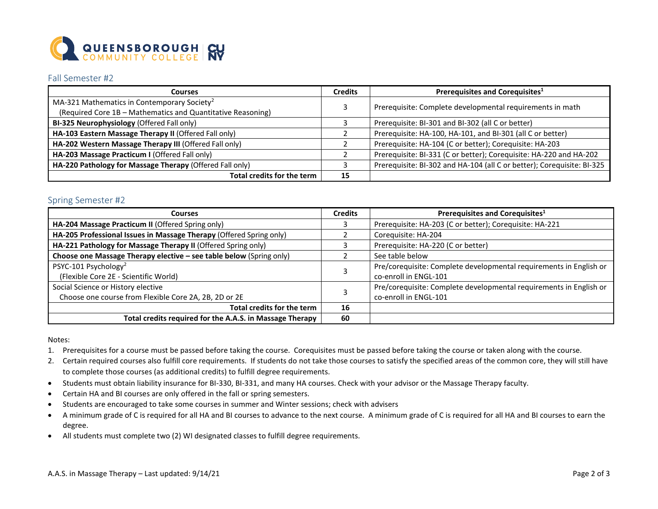

#### Fall Semester #2

| Courses                                                     |    | Prerequisites and Corequisites <sup>1</sup>                            |  |
|-------------------------------------------------------------|----|------------------------------------------------------------------------|--|
| MA-321 Mathematics in Contemporary Society <sup>2</sup>     |    | Prerequisite: Complete developmental requirements in math              |  |
| (Required Core 1B - Mathematics and Quantitative Reasoning) |    |                                                                        |  |
| BI-325 Neurophysiology (Offered Fall only)                  |    | Prerequisite: BI-301 and BI-302 (all C or better)                      |  |
| HA-103 Eastern Massage Therapy II (Offered Fall only)       |    | Prerequisite: HA-100, HA-101, and BI-301 (all C or better)             |  |
| HA-202 Western Massage Therapy III (Offered Fall only)      |    | Prerequisite: HA-104 (C or better); Corequisite: HA-203                |  |
| HA-203 Massage Practicum I (Offered Fall only)              |    | Prerequisite: BI-331 (C or better); Corequisite: HA-220 and HA-202     |  |
| HA-220 Pathology for Massage Therapy (Offered Fall only)    |    | Prerequisite: BI-302 and HA-104 (all C or better); Corequisite: BI-325 |  |
| Total credits for the term                                  | 15 |                                                                        |  |

#### Spring Semester #2

| <b>Courses</b>                                                      |    | Prerequisites and Corequisites <sup>1</sup>                        |  |
|---------------------------------------------------------------------|----|--------------------------------------------------------------------|--|
| HA-204 Massage Practicum II (Offered Spring only)                   |    | Prerequisite: HA-203 (C or better); Corequisite: HA-221            |  |
| HA-205 Professional Issues in Massage Therapy (Offered Spring only) |    | Corequisite: HA-204                                                |  |
| HA-221 Pathology for Massage Therapy II (Offered Spring only)       |    | Prerequisite: HA-220 (C or better)                                 |  |
| Choose one Massage Therapy elective - see table below (Spring only) |    | See table below                                                    |  |
| PSYC-101 Psychology <sup>2</sup>                                    |    | Pre/corequisite: Complete developmental requirements in English or |  |
| (Flexible Core 2E - Scientific World)                               |    | co-enroll in ENGL-101                                              |  |
| Social Science or History elective                                  |    | Pre/corequisite: Complete developmental requirements in English or |  |
| Choose one course from Flexible Core 2A, 2B, 2D or 2E               |    | co-enroll in ENGL-101                                              |  |
| Total credits for the term                                          | 16 |                                                                    |  |
| Total credits required for the A.A.S. in Massage Therapy            | 60 |                                                                    |  |

Notes:

- 1. Prerequisites for a course must be passed before taking the course. Corequisites must be passed before taking the course or taken along with the course.
- to complete those courses (as additional credits) to fulfill degree requirements. 2. Certain required courses also fulfill core requirements. If students do not take those courses to satisfy the specified areas of the common core, they will still have
- Students must obtain liability insurance for BI-330, BI-331, and many HA courses. Check with your advisor or the Massage Therapy faculty.
- Certain HA and BI courses are only offered in the fall or spring semesters.
- Students are encouraged to take some courses in summer and Winter sessions; check with advisers
- A minimum grade of C is required for all HA and BI courses to advance to the next course. A minimum grade of C is required for all HA and BI courses to earn the degree.
- All students must complete two (2) WI designated classes to fulfill degree requirements.